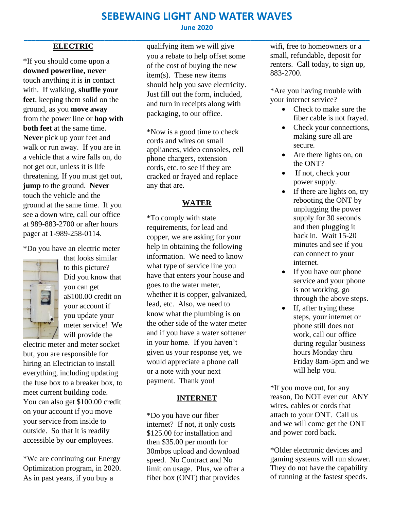## **SEBEWAING LIGHT AND WATER WAVES**

## **ELECTRIC**

\*If you should come upon a **downed powerline, never**  touch anything it is in contact with. If walking, **shuffle your feet**, keeping them solid on the ground, as you **move away** from the power line or **hop with both feet** at the same time. **Never** pick up your feet and walk or run away. If you are in a vehicle that a wire falls on, do not get out, unless it is life threatening. If you must get out, **jump** to the ground. **Never** touch the vehicle and the ground at the same time. If you see a down wire, call our office at 989-883-2700 or after hours pager at 1-989-258-0114.

\*Do you have an electric meter



that looks similar to this picture? Did you know that you can get a\$100.00 credit on your account if you update your meter service! We will provide the

electric meter and meter socket but, you are responsible for hiring an Electrician to install everything, including updating the fuse box to a breaker box, to meet current building code. You can also get \$100.00 credit on your account if you move your service from inside to outside. So that it is readily accessible by our employees.

\*We are continuing our Energy Optimization program, in 2020. As in past years, if you buy a

qualifying item we will give you a rebate to help offset some of the cost of buying the new item(s). These new items should help you save electricity. Just fill out the form, included, and turn in receipts along with packaging, to our office.

\*Now is a good time to check cords and wires on small appliances, video consoles, cell phone chargers, extension cords, etc. to see if they are cracked or frayed and replace any that are.

## **WATER**

\*To comply with state requirements, for lead and copper, we are asking for your help in obtaining the following information. We need to know what type of service line you have that enters your house and goes to the water meter, whether it is copper, galvanized, lead, etc. Also, we need to know what the plumbing is on the other side of the water meter and if you have a water softener in your home. If you haven't given us your response yet, we would appreciate a phone call or a note with your next payment. Thank you!

#### **INTERNET**

\*Do you have our fiber internet? If not, it only costs \$125.00 for installation and then \$35.00 per month for 30mbps upload and download speed. No Contract and No limit on usage. Plus, we offer a fiber box (ONT) that provides

wifi, free to homeowners or a small, refundable, deposit for renters. Call today, to sign up, 883-2700.

\*Are you having trouble with your internet service?

- Check to make sure the fiber cable is not frayed.
- Check your connections, making sure all are secure.
- Are there lights on, on the ONT?
- If not, check your power supply.
- If there are lights on, try rebooting the ONT by unplugging the power supply for 30 seconds and then plugging it back in. Wait 15-20 minutes and see if you can connect to your internet.
- If you have our phone service and your phone is not working, go through the above steps.
- If, after trying these steps, your internet or phone still does not work, call our office during regular business hours Monday thru Friday 8am-5pm and we will help you.

\*If you move out, for any reason, Do NOT ever cut ANY wires, cables or cords that attach to your ONT. Call us and we will come get the ONT and power cord back.

\*Older electronic devices and gaming systems will run slower. They do not have the capability of running at the fastest speeds.

## **June 2020 \_\_\_\_\_\_\_\_\_\_\_\_\_\_\_\_\_\_\_\_\_\_\_\_\_\_\_\_\_\_\_\_\_\_\_\_\_\_\_\_\_\_\_\_\_\_\_\_\_\_\_\_\_\_\_\_\_\_\_\_\_\_\_\_\_\_\_\_\_\_\_\_\_\_\_\_\_\_\_\_\_\_\_\_\_\_\_\_\_\_**